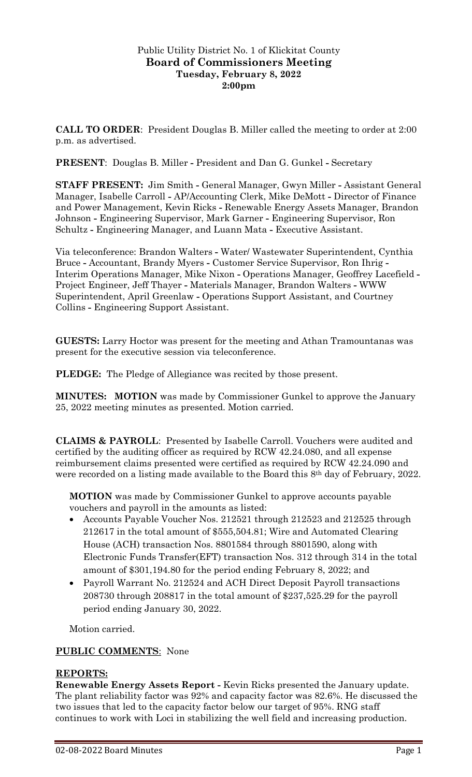## Public Utility District No. 1 of Klickitat County **Board of Commissioners Meeting Tuesday, February 8, 2022 2:00pm**

**CALL TO ORDER**: President Douglas B. Miller called the meeting to order at 2:00 p.m. as advertised.

**PRESENT**: Douglas B. Miller **-** President and Dan G. Gunkel **-** Secretary

**STAFF PRESENT:** Jim Smith **-** General Manager, Gwyn Miller **-** Assistant General Manager, Isabelle Carroll **-** AP/Accounting Clerk, Mike DeMott **-** Director of Finance and Power Management, Kevin Ricks **-** Renewable Energy Assets Manager, Brandon Johnson **-** Engineering Supervisor, Mark Garner **-** Engineering Supervisor, Ron Schultz **-** Engineering Manager, and Luann Mata **-** Executive Assistant.

Via teleconference: Brandon Walters **-** Water/ Wastewater Superintendent, Cynthia Bruce **-** Accountant, Brandy Myers **-** Customer Service Supervisor, Ron Ihrig **-** Interim Operations Manager, Mike Nixon **-** Operations Manager, Geoffrey Lacefield **-** Project Engineer, Jeff Thayer **-** Materials Manager, Brandon Walters **-** WWW Superintendent, April Greenlaw **-** Operations Support Assistant, and Courtney Collins **-** Engineering Support Assistant.

**GUESTS:** Larry Hoctor was present for the meeting and Athan Tramountanas was present for the executive session via teleconference.

**PLEDGE:** The Pledge of Allegiance was recited by those present.

**MINUTES: MOTION** was made by Commissioner Gunkel to approve the January 25, 2022 meeting minutes as presented. Motion carried.

**CLAIMS & PAYROLL**: Presented by Isabelle Carroll. Vouchers were audited and certified by the auditing officer as required by RCW 42.24.080, and all expense reimbursement claims presented were certified as required by RCW 42.24.090 and were recorded on a listing made available to the Board this 8<sup>th</sup> day of February, 2022.

**MOTION** was made by Commissioner Gunkel to approve accounts payable vouchers and payroll in the amounts as listed:

- Accounts Payable Voucher Nos. 212521 through 212523 and 212525 through 212617 in the total amount of \$555,504.81; Wire and Automated Clearing House (ACH) transaction Nos. 8801584 through 8801590, along with Electronic Funds Transfer(EFT) transaction Nos. 312 through 314 in the total amount of \$301,194.80 for the period ending February 8, 2022; and
- Payroll Warrant No. 212524 and ACH Direct Deposit Payroll transactions 208730 through 208817 in the total amount of \$237,525.29 for the payroll period ending January 30, 2022.

Motion carried.

# **PUBLIC COMMENTS**: None

#### **REPORTS:**

**Renewable Energy Assets Report -** Kevin Ricks presented the January update. The plant reliability factor was 92% and capacity factor was 82.6%. He discussed the two issues that led to the capacity factor below our target of 95%. RNG staff continues to work with Loci in stabilizing the well field and increasing production.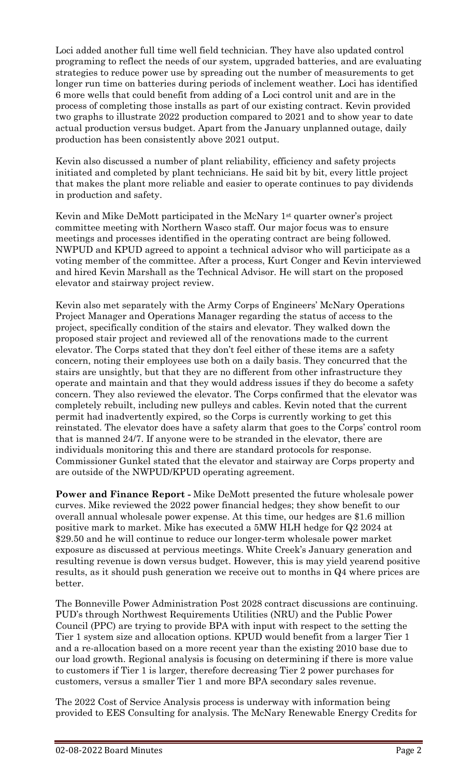Loci added another full time well field technician. They have also updated control programing to reflect the needs of our system, upgraded batteries, and are evaluating strategies to reduce power use by spreading out the number of measurements to get longer run time on batteries during periods of inclement weather. Loci has identified 6 more wells that could benefit from adding of a Loci control unit and are in the process of completing those installs as part of our existing contract. Kevin provided two graphs to illustrate 2022 production compared to 2021 and to show year to date actual production versus budget. Apart from the January unplanned outage, daily production has been consistently above 2021 output.

Kevin also discussed a number of plant reliability, efficiency and safety projects initiated and completed by plant technicians. He said bit by bit, every little project that makes the plant more reliable and easier to operate continues to pay dividends in production and safety.

Kevin and Mike DeMott participated in the McNary 1st quarter owner's project committee meeting with Northern Wasco staff. Our major focus was to ensure meetings and processes identified in the operating contract are being followed. NWPUD and KPUD agreed to appoint a technical advisor who will participate as a voting member of the committee. After a process, Kurt Conger and Kevin interviewed and hired Kevin Marshall as the Technical Advisor. He will start on the proposed elevator and stairway project review.

Kevin also met separately with the Army Corps of Engineers' McNary Operations Project Manager and Operations Manager regarding the status of access to the project, specifically condition of the stairs and elevator. They walked down the proposed stair project and reviewed all of the renovations made to the current elevator. The Corps stated that they don't feel either of these items are a safety concern, noting their employees use both on a daily basis. They concurred that the stairs are unsightly, but that they are no different from other infrastructure they operate and maintain and that they would address issues if they do become a safety concern. They also reviewed the elevator. The Corps confirmed that the elevator was completely rebuilt, including new pulleys and cables. Kevin noted that the current permit had inadvertently expired, so the Corps is currently working to get this reinstated. The elevator does have a safety alarm that goes to the Corps' control room that is manned 24/7. If anyone were to be stranded in the elevator, there are individuals monitoring this and there are standard protocols for response. Commissioner Gunkel stated that the elevator and stairway are Corps property and are outside of the NWPUD/KPUD operating agreement.

**Power and Finance Report -** Mike DeMott presented the future wholesale power curves. Mike reviewed the 2022 power financial hedges; they show benefit to our overall annual wholesale power expense. At this time, our hedges are \$1.6 million positive mark to market. Mike has executed a 5MW HLH hedge for Q2 2024 at \$29.50 and he will continue to reduce our longer-term wholesale power market exposure as discussed at pervious meetings. White Creek's January generation and resulting revenue is down versus budget. However, this is may yield yearend positive results, as it should push generation we receive out to months in Q4 where prices are better.

The Bonneville Power Administration Post 2028 contract discussions are continuing. PUD's through Northwest Requirements Utilities (NRU) and the Public Power Council (PPC) are trying to provide BPA with input with respect to the setting the Tier 1 system size and allocation options. KPUD would benefit from a larger Tier 1 and a re-allocation based on a more recent year than the existing 2010 base due to our load growth. Regional analysis is focusing on determining if there is more value to customers if Tier 1 is larger, therefore decreasing Tier 2 power purchases for customers, versus a smaller Tier 1 and more BPA secondary sales revenue.

The 2022 Cost of Service Analysis process is underway with information being provided to EES Consulting for analysis. The McNary Renewable Energy Credits for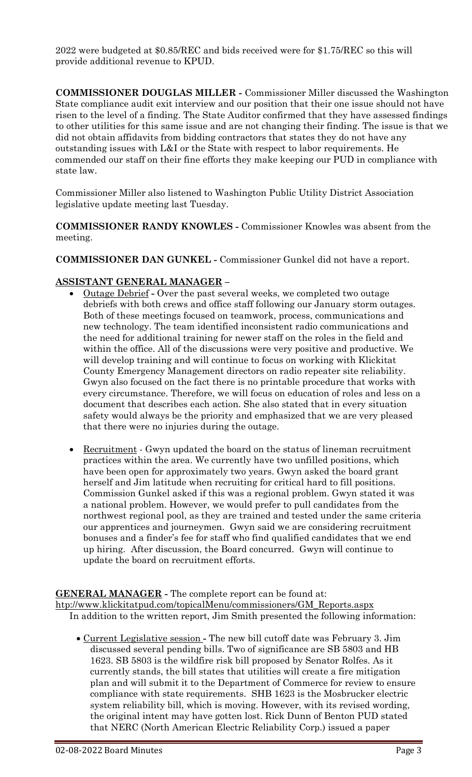2022 were budgeted at \$0.85/REC and bids received were for \$1.75/REC so this will provide additional revenue to KPUD.

**COMMISSIONER DOUGLAS MILLER -** Commissioner Miller discussed the Washington State compliance audit exit interview and our position that their one issue should not have risen to the level of a finding. The State Auditor confirmed that they have assessed findings to other utilities for this same issue and are not changing their finding. The issue is that we did not obtain affidavits from bidding contractors that states they do not have any outstanding issues with L&I or the State with respect to labor requirements. He commended our staff on their fine efforts they make keeping our PUD in compliance with state law.

Commissioner Miller also listened to Washington Public Utility District Association legislative update meeting last Tuesday.

**COMMISSIONER RANDY KNOWLES -** Commissioner Knowles was absent from the meeting.

**COMMISSIONER DAN GUNKEL -** Commissioner Gunkel did not have a report.

## **ASSISTANT GENERAL MANAGER –**

- Outage Debrief **-** Over the past several weeks, we completed two outage debriefs with both crews and office staff following our January storm outages. Both of these meetings focused on teamwork, process, communications and new technology. The team identified inconsistent radio communications and the need for additional training for newer staff on the roles in the field and within the office. All of the discussions were very positive and productive. We will develop training and will continue to focus on working with Klickitat County Emergency Management directors on radio repeater site reliability. Gwyn also focused on the fact there is no printable procedure that works with every circumstance. Therefore, we will focus on education of roles and less on a document that describes each action. She also stated that in every situation safety would always be the priority and emphasized that we are very pleased that there were no injuries during the outage.
- Recruitment Gwyn updated the board on the status of lineman recruitment practices within the area. We currently have two unfilled positions, which have been open for approximately two years. Gwyn asked the board grant herself and Jim latitude when recruiting for critical hard to fill positions. Commission Gunkel asked if this was a regional problem. Gwyn stated it was a national problem. However, we would prefer to pull candidates from the northwest regional pool, as they are trained and tested under the same criteria our apprentices and journeymen. Gwyn said we are considering recruitment bonuses and a finder's fee for staff who find qualified candidates that we end up hiring. After discussion, the Board concurred. Gwyn will continue to update the board on recruitment efforts.

**GENERAL MANAGER -** The complete report can be found at: [htp://www.klickitatpud.com/topicalMenu/commissioners/GM\\_Reports.aspx](http://www.klickitatpud.com/topicalMenu/commissioners/GM_Reports.aspx) In addition to the written report, Jim Smith presented the following information:

• Current Legislative session **-** The new bill cutoff date was February 3. Jim discussed several pending bills. Two of significance are SB 5803 and HB 1623. SB 5803 is the wildfire risk bill proposed by Senator Rolfes. As it currently stands, the bill states that utilities will create a fire mitigation plan and will submit it to the Department of Commerce for review to ensure compliance with state requirements. SHB 1623 is the Mosbrucker electric system reliability bill, which is moving. However, with its revised wording, the original intent may have gotten lost. Rick Dunn of Benton PUD stated that NERC (North American Electric Reliability Corp.) issued a paper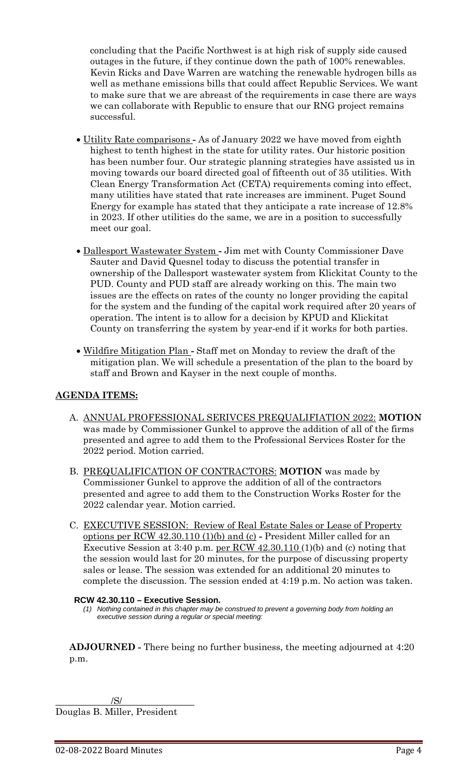concluding that the Pacific Northwest is at high risk of supply side caused outages in the future, if they continue down the path of 100% renewables. Kevin Ricks and Dave Warren are watching the renewable hydrogen bills as well as methane emissions bills that could affect Republic Services. We want to make sure that we are abreast of the requirements in case there are ways we can collaborate with Republic to ensure that our RNG project remains successful.

- Utility Rate comparisons **-** As of January 2022 we have moved from eighth highest to tenth highest in the state for utility rates. Our historic position has been number four. Our strategic planning strategies have assisted us in moving towards our board directed goal of fifteenth out of 35 utilities. With Clean Energy Transformation Act (CETA) requirements coming into effect, many utilities have stated that rate increases are imminent. Puget Sound Energy for example has stated that they anticipate a rate increase of 12.8% in 2023. If other utilities do the same, we are in a position to successfully meet our goal.
- Dallesport Wastewater System **-** Jim met with County Commissioner Dave Sauter and David Quesnel today to discuss the potential transfer in ownership of the Dallesport wastewater system from Klickitat County to the PUD. County and PUD staff are already working on this. The main two issues are the effects on rates of the county no longer providing the capital for the system and the funding of the capital work required after 20 years of operation. The intent is to allow for a decision by KPUD and Klickitat County on transferring the system by year-end if it works for both parties.
- Wildfire Mitigation Plan **-** Staff met on Monday to review the draft of the mitigation plan. We will schedule a presentation of the plan to the board by staff and Brown and Kayser in the next couple of months.

# **AGENDA ITEMS:**

- A. ANNUAL PROFESSIONAL SERIVCES PREQUALIFIATION 2022: **MOTION** was made by Commissioner Gunkel to approve the addition of all of the firms presented and agree to add them to the Professional Services Roster for the 2022 period. Motion carried.
- B. PREQUALIFICATION OF CONTRACTORS: **MOTION** was made by Commissioner Gunkel to approve the addition of all of the contractors presented and agree to add them to the Construction Works Roster for the 2022 calendar year. Motion carried.
- C. EXECUTIVE SESSION: Review of Real Estate Sales or Lease of Property options per RCW 42.30.110 (1)(b) and (c) **-** President Miller called for an Executive Session at 3:40 p.m. per RCW  $42.30.110(1)(b)$  and (c) noting that the session would last for 20 minutes, for the purpose of discussing property sales or lease. The session was extended for an additional 20 minutes to complete the discussion. The session ended at 4:19 p.m. No action was taken.

#### **RCW 42.30.110 – Executive Session.**

*(1) Nothing contained in this chapter may be construed to prevent a governing body from holding an executive session during a regular or special meeting:*

**ADJOURNED -** There being no further business, the meeting adjourned at 4:20 p.m.

/S/ Douglas B. Miller, President